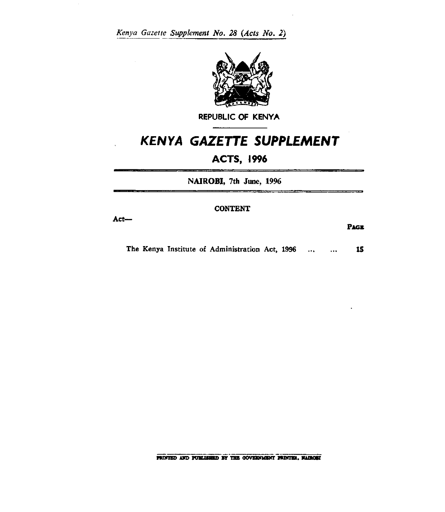

**REPUBLIC OF KENYA** 

# **KENYA GAZETTE SUPPLEMENT**

## **ACTS, 1996**

NAIROBI, 7th June, 1996

### CONTENT

Act—

PAGE

The Kenya Institute of Administration Act, 1996 ... ... 15

**PRINTED AND PUBLISHED BY THE GOVERNMENT PRINTER, MAIRORY**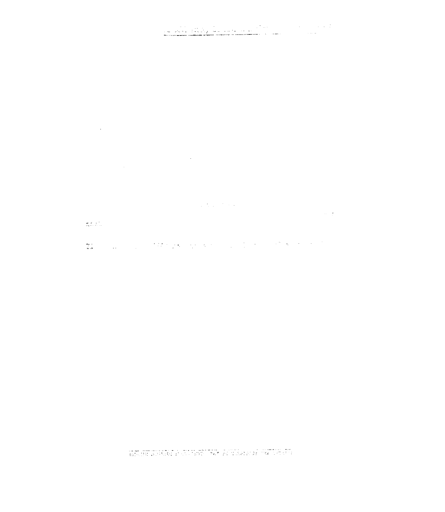$\mathcal{L}^{\text{max}}_{\text{max}}$  and  $\mathcal{L}^{\text{max}}_{\text{max}}$  $\label{eq:2.1} \frac{1}{\sqrt{2}}\int_{\mathbb{R}^3}\frac{1}{\sqrt{2}}\left(\frac{1}{\sqrt{2}}\right)^2\frac{1}{\sqrt{2}}\left(\frac{1}{\sqrt{2}}\right)^2\frac{1}{\sqrt{2}}\left(\frac{1}{\sqrt{2}}\right)^2\frac{1}{\sqrt{2}}\left(\frac{1}{\sqrt{2}}\right)^2.$ 

 $\mathcal{L}^{\mathcal{L}}(\mathcal{L}^{\mathcal{L}})$  and  $\mathcal{L}^{\mathcal{L}}(\mathcal{L}^{\mathcal{L}})$  . We can consider the  $\mathcal{L}^{\mathcal{L}}$  $\mathcal{L}^{\text{max}}_{\text{max}}$  and  $\mathcal{L}^{\text{max}}_{\text{max}}$ 

 $\pi(\mathbb{Z},\mathbb{R}^n)$  .

 $\frac{1}{2} \frac{1}{2} \frac{1}{2} \left( \frac{1}{2} \left( \frac{1}{2} \frac{1}{2} \left( \frac{1}{2} \frac{1}{2} \frac{1}{2} \frac{1}{2} \frac{1}{2} \frac{1}{2} \frac{1}{2} \frac{1}{2} \frac{1}{2} \frac{1}{2} \frac{1}{2} \frac{1}{2} \frac{1}{2} \frac{1}{2} \frac{1}{2} \frac{1}{2} \frac{1}{2} \frac{1}{2} \frac{1}{2} \frac{1}{2} \frac{1}{2} \frac{1}{2} \frac{1}{2} \frac{1}{2} \$ 

GENERAL SERVICE CONTRACTORS AND SERVER OF THE CONTRACTORS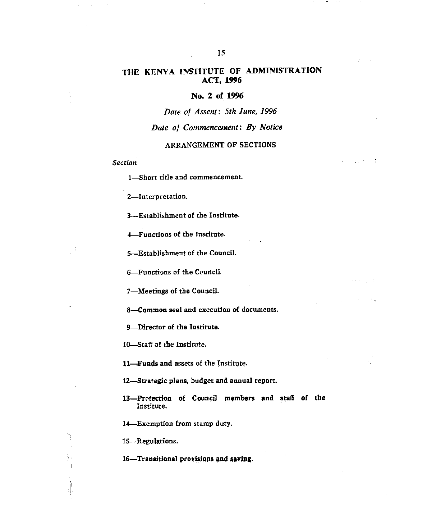## **THE KENYA INSTITUTE OF ADMINISTRATION**  ACT, **1996**

#### **No. 2 of 1996**

*Date of Assent: 5th June, 1996* 

#### *Date of Commencement: By Notice*

#### ARRANGEMENT OF SECTIONS

*Section* 

 $\pm \frac{1}{2}$ 

Ą

1—Short tide and commencement.

2—Interpretation.

3—Establishment of the Institute.

4—Functions of the Institute.

5—Establishment of the Council.

6—Functions of the Council.

7—Meetings of the Council.

8—Common seal and execution of documents.

9—Director of the Institute.

10—Staff of the Institute.

11—Funds and assets of the Institute.

12—Strategic plans, budget and annual report.

13—Protection of Council members and staff of the Institute.

14—Exemption from stamp duty.

15—Regulations.

16-Transitional provisions and saving.

**Allen Frederick**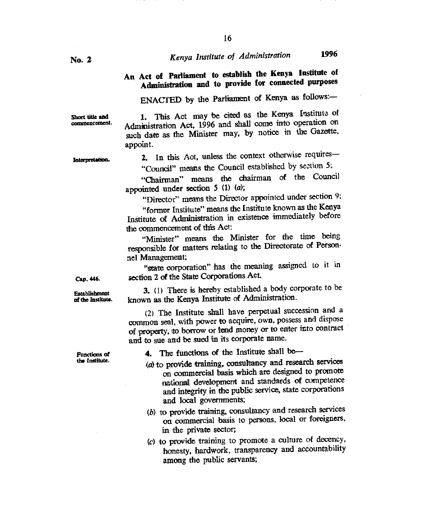## An Act of Parliament to establish the Kenya Institute of Administration and to provide for connected purposes

ENACTED by the Parliament of Kenya as follows:-

**Short tide and commencement.** 

1. This Act may be cited as the Kenya Institute of Administration Act, 1996 and shall come into operation on such date as the Minister may, by notice in the Gazette, appoint.

**Interpretation.** 2. In this Act, unless the context otherwise requires—

"Council" means the Council established by section 5;

"Chairman" means the chairman of the Council appointed under section 5 (1) (a):

"Director" means the Director appointed under section 9;

"former Institute" means the Institute known as the Kenya Institute of Administration in existence immediately before the commencement of this Act;

"Minister" means the Minister for the time being responsible for matters relating to the Directorate of Personnel Management

"state corporation" has the meaning assigned to it in **Cap. 446.** section 2 of the State Corporations Act

> 3. (1) There is hereby established a body corporate to be known as the Kenya Institute of Administration.

(2) The Institute shall have perpetual succession and a common seal, with power to acquire, own, possess and dispose of pmpetty, to borrow or lend money or to enter into contract and to sue and be sued in its corporate name.

4. The functions of the Institute shall be—

- (a) to provide training, consultancy and research services on commercial basis which are designed to promote national development and standards of competence and integrity in the public service, state corporations and local governments;
- $(b)$  to provide training, consultancy and research services on commercial basis to persons, local or foreigners, kin the private sector;
- $(c)$  to provide training to promote a culture of decency, honesty, hardwork, transparency and accountability among the public servants;

**Establishment of the Institute.** 

**Functions of the Institute.**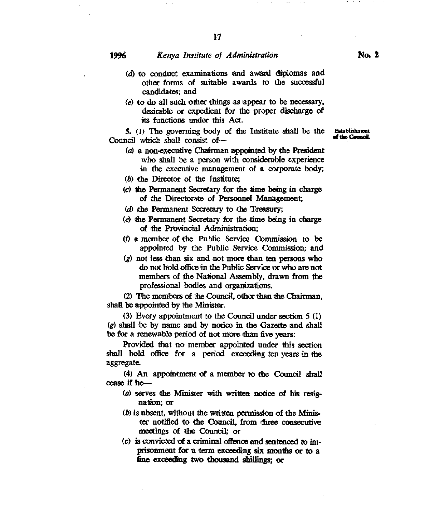- - (d) to conduct examinations and award diplomas and other forms of suitable awards to the successful candidates; and
	- (e) to do all such other things as appear to be necessary. desirable or expedient for the proper discharge of its functions under this Act.

5. (1) The governing body of the Institute shall be the Council which shall consist *of—* 

- (a) a non-executive Chairman appointed by the President who shall be a person with considerable experience in the executive management of a corporate body;
- (b) the Director of the Institute;
- (c) the Permanent Secretary for the time being in charge of the Directorate of Personnel Management;
- (d) the Permanent Secretary to the Treasury;
- (e) the Permanent Secretary for the time being in charge of the Provincial Administration;
- (f) a member of the Public Service Commission to be appointed by the Public Service Commission; and
- (g) not less than six and not more than ten persons who do not hold office in the Public Service or who are not members of the National Assembly, drawn from the professional bodies and organizations.

(2) The members of the Council, other than the Chairman. shall be appointed by the Minister.

(3) Every appointment to the Council under section 5 (1) *(g)* shall be by name and by notice in the Gazette and shall be for a renewable period of not more than five years:

Provided that no member appointed under this section shall hold office for a period exceeding ten years in the aggregate.

(4) An appointment of a member to the Council shall cease if he—

- (a) serves the Minister with written notice of his resignation; or
- $(b)$  is absent, without the written permission of the Minister notified to the Council, from three consecutive meetings of the Council: or
- (c) is convicted of a criminal offence and sentenced to imprisonment for a term exceeding six months or to a fine exceeding two thousand shillings; or

**Establishment ot the Candi**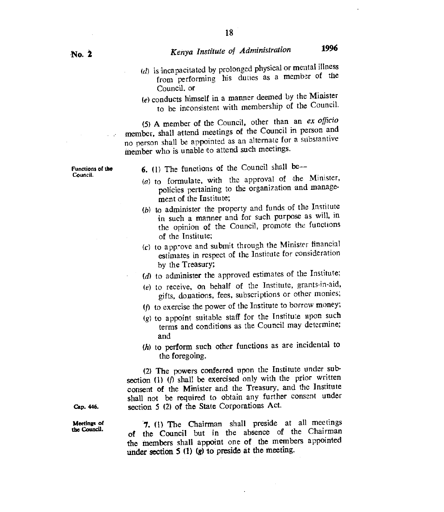No. 2 *Kenya Institute of Administration* <sup>1996</sup>

- (d) is incapacitated by prolonged physical or mental illness from performing his duties as a member of the Council. or
- (e) conducts himself in a manner deemed by the Minister to be inconsistent with membership of the Council.

(5) A member of the Council, other than an *ex officio* member, shall attend meetings of the Council in person and no person shall be appointed as an alternate for a substantive member who is unable to attend such meetings.

Functions of the Council.

6. (1) The functions of the Council shall be--

- (a) to formulate, with the approval of the Minister, policies pertaining to the organization and management of the Institute;
- (b) to administer the property and funds of the Institute in such a manner and for such purpose as will, in the opinion of the Council, promote the functions of the Institute;
- (c) to app-ove and submit through the Minister financial estimates in respect of the Institute for consideration by the Treasury;
- $(d)$  to administer the approved estimates of the Institute;
- (e) to receive, on behalf of the Institute, grants-in-aid, gifts, donations, fees, subscriptions or other monies;
- (f) to exercise the power of the Institute to borrow money;
- $(g)$  to appoint suitable staff for the Institute upon such terms and conditions as the Council may determine; and
- (h) to perform such other functions as are incidental to the foregoing.

(2) The powers conferred upon the Institute under subsection (1) (f) shall be exercised only with the prior written consent of the Minister and the Treasury, and the Institute shall not be required to obtain any further consent under section 5 (2) of the State Corporations Act.

7. (1) The Chairman shall preside at all meetings of the Council but in the absence of the Chairman the members shall appoint one of the members appointed under section 5 (1) (g) to preside at the meeting.

Cap. 446.

Meetings of the Council.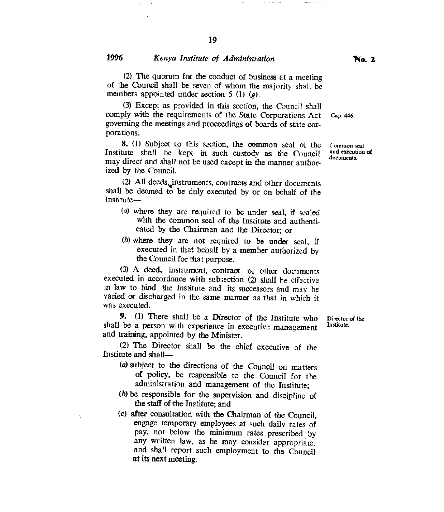### **1996** *Kenya Institute of Administration '***No. 2,**

(2)The quorum for the conduct of business at a meeting of the Council shall be seven of whom the majority shall be members appointed under section 5 (1) *(g).* 

(3) Except as provided in this section, the Council shall comply with the requirements of the State Corporations Act governing the meetings and proceedings of boards of state corporations.

**8.** (I) Subject to this section, the common seal of the Institute shall be kept in such custody as the Council may direct and shall not be used except in the manner authorized by the Council.

(2) All deeds $\mathbf{r}$  instruments, contracts and other documents shall be deemed to be duly executed by or on behalf of the Institute-

- (a) where they are required to be under seal, if sealed with the common seal of the Institute and authenticated by the Chairman and the Director; or
- (b)where they are *not* required to be under seal, if executed in that behalf by a member authorized by the Council for that purpose.

(3) A deed, instrument, contract or other documents executed in accordance with subsection (2) shall be effective in law to bind the Institute and its successors and may be varied or discharged in the same manner as that in which it was executed.

**9.** (1) There shall be a Director of the Institute who shall be a person with experience in executive management and training, appointed by the Minister.

(2) The Director shall be the chief executive of the Institute and shall—

- (a)subject to the directions of the Council on matters of policy, be responsible to the Council for the administration and management of the Institute;
- (b) be responsible for the supervision and discipline of the staff of the Institute; and
- (c) after consultation with the Chairman of the Council, engage temporary employees at such daily rates of pay, not below the minimum rates prescribed by any written law, as he may consider appropriate, and shall report such employment to the Council at its next meeting.

Director of the Institute.

Common seal and execution **of**  documents.

Cap. 446.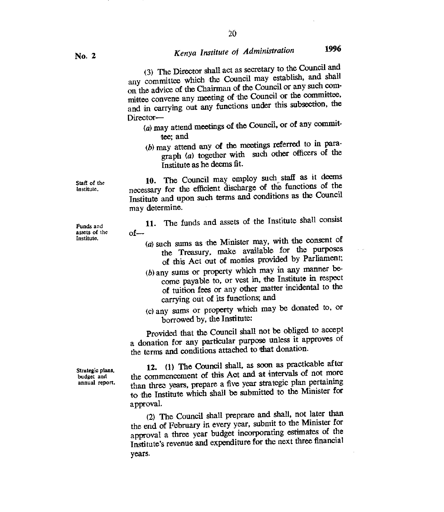(3) The Director shall act as secretary to the Council and any committee which the Council may establish, and shall on the advice of the Chairman of the Council or any such committee convene any meeting of the Council or the committee, and in carrying out any functions under this subsection, the Director—

- $(a)$  may attend meetings of the Council, or of any committee; and
- $(b)$  may attend any of the meetings referred to in paragraph (a) together with such other officers of the Institute as he deems fit.

10. The Council may employ such staff as it deems necessary for the efficient discharge of the functions of the Institute and upon such terms and conditions as the Council may determine.

11. The funds and assets of the Institute shall consist  $of-$ 

- $(a)$  such sums as the Minister may, with the consent of the Treasury, make available for the purposes of this Act out of monies provided by Parliament;
- *(b)any* sums or property which may in any manner become payable to, or vest in, the Institute in respect of tuition fees or any other matter incidental to the carrying out of its functions; and
- (c)any sums or property which may be donated to. or borrowed by, the Institute:

Provided that the Council shall not be obliged to accept a donation for any particular purpose unless it approves of the terms and conditions attached to that donation.

**12.** (1) The Council shall, as soon as practicable after the commencement of this Act and at intervals of not more than three years, prepare a five year strategic plan pertaining to the Institute which shall be submitted to the Minister for approval.

(2) The Council shall preprare and shall, not later than the end of February in every year, submit to the Minister for approval a three year budget incorporating estimates of the Institute's revenue and expenditure for the next three financial years.

assets of the Institute.

Strategic plans, budget and annual report.

Funds and

Staff of the Institute.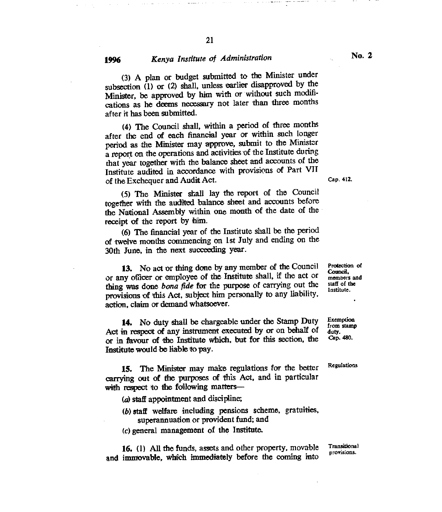## (3) A plan or budget submitted to the Minister under subsection (1) or (2) shall, unless earlier disapproved by the Minister, be approved by him with or without such modifications as he deems necessary not later than three months after it has been submitted.

(4) The Council shall, within a period of three months after the end of each financial year or within such longer period as the Minister may approve, submit to the Minister a report on the operations and activities of the Institute during that year together with the balance sheet and accounts of the Institute audited in accordance with provisions of Part VII of the Exchequer and Audit Act. **Cap. 412.** 

(5) The Minister shall lay the report of the Council together with the audited balance sheet and accounts before the National Assembly within one month of the date of the receipt of the report by him.

(6) The financial year of the Institute shall be the period of twelve months commencing on 1st July and ending on the 30th June, in the next succeeding year.

13. No act or thing done by any member of the Council or any officer or employee of the Institute shall, if the act or thing *was* done *bona fide* for the purpose of carrying out the provisions of this Act, subject him personally to any liability. action, claim or demand whatsoever.

14. No duty shall be chargeable under the Stamp Duty Act in respect of any instrument executed by or on behalf of or in favour of the Institute which, but for this section, the Institute would be liable to pay.

15. The Minister may make regulations for the better carrying out of the purposes of this Act, and in particular with respect to the following matters—

(a) staff appointment and discipline;

- (b) staff welfare including pensions scheme, gratuities, superannuation or provident fund; and
- (c)general management of the Institute.

16. (1) All the funds, assets and other property, movable and immovable, which immediately before the coming into **Transitional** 

**Protection of**  Council. **members and staff of the Institute.** 

**Exemption**  from **stamp duty. Cap. 480.** 

**Regulations** 

**provisions.**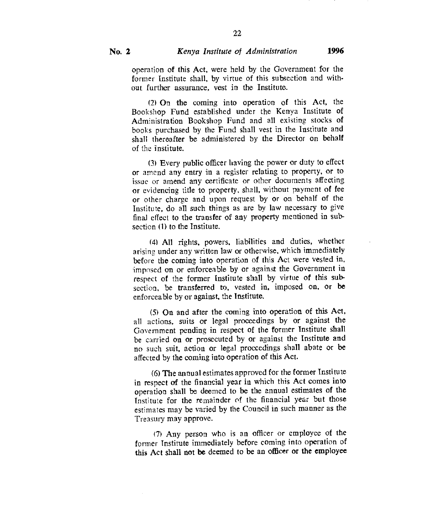operation of this Act, were held by the Government for the former Institute shall, by virtue of this subsection and without further assurance, vest in the Institute.

22

(2) On the coming into operation of this Act, the Bookshop Fund established under the Kenya Institute of Administration Bookshop Fund and all existing stocks of books purchased by the Fund shall vest in the Institute and shall thereafter be administered by the Director on behalf of the institute.

(3) Every public officer having the power or duty to effect or amend any entry in a register relating to property, or to issue or amend any certificate or other documents affecting or evidencing title to property, shall, without payment of fee or other charge and upon request by or on behalf of the Institute, do all such things as are by law necessary to give final effect to the transfer of any property mentioned in subsection (1) to the Institute.

(4) All rights, powers, liabilities and duties, whether arising under any written law or otherwise, which immediately before the coming into operation of this Act were vested in, imposed on or enforceable by or against the Government in respect of the former Institute shall by virtue of this subsection, be transferred to, vested in, imposed on, or be enforceable by or against, the Institute.

(5) On and after the coming into operation of this Act, all actions, suits or legal proceedings by or against the Government pending in respect of the former Institute shall be carried on or prosecuted by or against the Institute and no such suit, action or legal proceedings shall abate or be affected by the coming into operation of this Act.

(6) The annual estimates approved for the former Institute in respect of the financial year in which this Act comes into operation shall be deemed to be the annual estimates of the Institute for the remainder of the financial year but those estimates may be varied by the Council in such manner as the Treasury may approve.

(7) Any person who is an officer or employee of the former Institute immediately before coming into operation of this Act shall not be deemed to be an officer or the employee